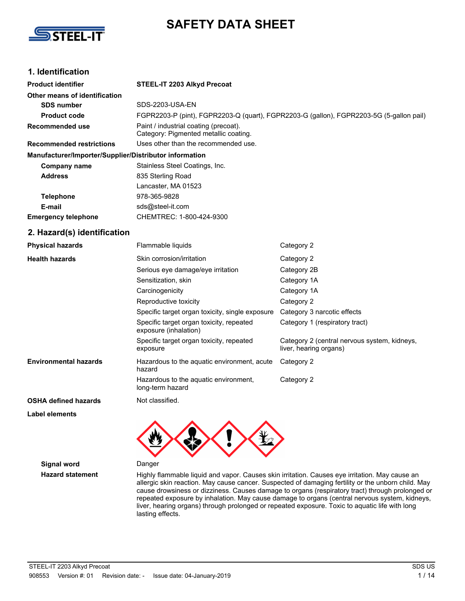

# **SAFETY DATA SHEET**

# **1. Identification**

| <b>Product identifier</b>                              | STEEL-IT 2203 Alkyd Precoat                                                             |                                                                        |  |
|--------------------------------------------------------|-----------------------------------------------------------------------------------------|------------------------------------------------------------------------|--|
| Other means of identification                          |                                                                                         |                                                                        |  |
| <b>SDS number</b>                                      | <b>SDS-2203-USA-EN</b>                                                                  |                                                                        |  |
| <b>Product code</b>                                    | FGPR2203-P (pint), FGPR2203-Q (quart), FGPR2203-G (gallon), FGPR2203-5G (5-gallon pail) |                                                                        |  |
| <b>Recommended use</b>                                 | Paint / industrial coating (precoat).<br>Category: Pigmented metallic coating.          |                                                                        |  |
| <b>Recommended restrictions</b>                        | Uses other than the recommended use.                                                    |                                                                        |  |
| Manufacturer/Importer/Supplier/Distributor information |                                                                                         |                                                                        |  |
| <b>Company name</b>                                    | Stainless Steel Coatings, Inc.                                                          |                                                                        |  |
| <b>Address</b>                                         | 835 Sterling Road                                                                       |                                                                        |  |
|                                                        | Lancaster, MA 01523                                                                     |                                                                        |  |
| <b>Telephone</b>                                       | 978-365-9828                                                                            |                                                                        |  |
| E-mail                                                 | sds@steel-it.com                                                                        |                                                                        |  |
| <b>Emergency telephone</b>                             | CHEMTREC: 1-800-424-9300                                                                |                                                                        |  |
| 2. Hazard(s) identification                            |                                                                                         |                                                                        |  |
| <b>Physical hazards</b>                                | Flammable liquids                                                                       | Category 2                                                             |  |
| <b>Health hazards</b>                                  | Skin corrosion/irritation                                                               | Category 2                                                             |  |
|                                                        | Serious eye damage/eye irritation                                                       | Category 2B                                                            |  |
|                                                        | Sensitization, skin                                                                     | Category 1A                                                            |  |
|                                                        | Carcinogenicity                                                                         | Category 1A                                                            |  |
|                                                        | Reproductive toxicity                                                                   | Category 2                                                             |  |
|                                                        | Specific target organ toxicity, single exposure                                         | Category 3 narcotic effects                                            |  |
|                                                        | Specific target organ toxicity, repeated<br>exposure (inhalation)                       | Category 1 (respiratory tract)                                         |  |
|                                                        | Specific target organ toxicity, repeated<br>exposure                                    | Category 2 (central nervous system, kidneys,<br>liver, hearing organs) |  |
| <b>Environmental hazards</b>                           | Hazardous to the aquatic environment, acute<br>hazard                                   | Category 2                                                             |  |
|                                                        | Hazardous to the aquatic environment,<br>long-term hazard                               | Category 2                                                             |  |
| <b>OSHA defined hazards</b>                            | Not classified.                                                                         |                                                                        |  |

**Label elements**

**Signal word** Danger

Hazard statement **Highly flammable liquid and vapor. Causes skin irritation. Causes eye irritation. May cause an** allergic skin reaction. May cause cancer. Suspected of damaging fertility or the unborn child. May cause drowsiness or dizziness. Causes damage to organs (respiratory tract) through prolonged or repeated exposure by inhalation. May cause damage to organs (central nervous system, kidneys, liver, hearing organs) through prolonged or repeated exposure. Toxic to aquatic life with long lasting effects.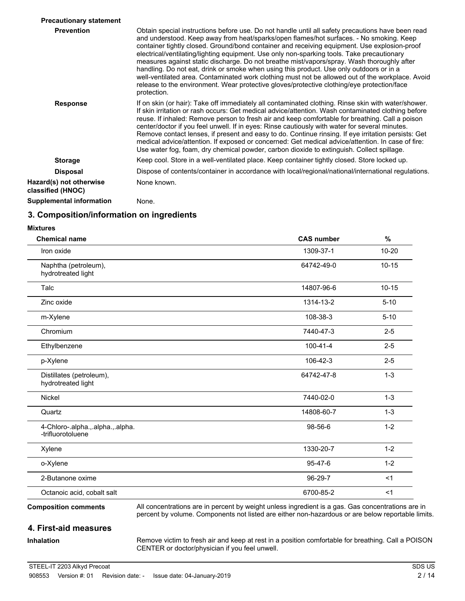| <b>Precautionary statement</b>               |                                                                                                                                                                                                                                                                                                                                                                                                                                                                                                                                                                                                                                                                                                                                                                                                      |
|----------------------------------------------|------------------------------------------------------------------------------------------------------------------------------------------------------------------------------------------------------------------------------------------------------------------------------------------------------------------------------------------------------------------------------------------------------------------------------------------------------------------------------------------------------------------------------------------------------------------------------------------------------------------------------------------------------------------------------------------------------------------------------------------------------------------------------------------------------|
| <b>Prevention</b>                            | Obtain special instructions before use. Do not handle until all safety precautions have been read<br>and understood. Keep away from heat/sparks/open flames/hot surfaces. - No smoking. Keep<br>container tightly closed. Ground/bond container and receiving equipment. Use explosion-proof<br>electrical/ventilating/lighting equipment. Use only non-sparking tools. Take precautionary<br>measures against static discharge. Do not breathe mist/vapors/spray. Wash thoroughly after<br>handling. Do not eat, drink or smoke when using this product. Use only outdoors or in a<br>well-ventilated area. Contaminated work clothing must not be allowed out of the workplace. Avoid<br>release to the environment. Wear protective gloves/protective clothing/eye protection/face<br>protection. |
| <b>Response</b>                              | If on skin (or hair): Take off immediately all contaminated clothing. Rinse skin with water/shower.<br>If skin irritation or rash occurs: Get medical advice/attention. Wash contaminated clothing before<br>reuse. If inhaled: Remove person to fresh air and keep comfortable for breathing. Call a poison<br>center/doctor if you feel unwell. If in eyes: Rinse cautiously with water for several minutes.<br>Remove contact lenses, if present and easy to do. Continue rinsing. If eye irritation persists: Get<br>medical advice/attention. If exposed or concerned: Get medical advice/attention. In case of fire:<br>Use water fog, foam, dry chemical powder, carbon dioxide to extinguish. Collect spillage.                                                                              |
| <b>Storage</b>                               | Keep cool. Store in a well-ventilated place. Keep container tightly closed. Store locked up.                                                                                                                                                                                                                                                                                                                                                                                                                                                                                                                                                                                                                                                                                                         |
| <b>Disposal</b>                              | Dispose of contents/container in accordance with local/regional/national/international regulations.                                                                                                                                                                                                                                                                                                                                                                                                                                                                                                                                                                                                                                                                                                  |
| Hazard(s) not otherwise<br>classified (HNOC) | None known.                                                                                                                                                                                                                                                                                                                                                                                                                                                                                                                                                                                                                                                                                                                                                                                          |
| Supplemental information                     | None.                                                                                                                                                                                                                                                                                                                                                                                                                                                                                                                                                                                                                                                                                                                                                                                                |
|                                              |                                                                                                                                                                                                                                                                                                                                                                                                                                                                                                                                                                                                                                                                                                                                                                                                      |

# **3. Composition/information on ingredients**

#### **Mixtures**

| <b>Chemical name</b>                                  | <b>CAS number</b> | %         |
|-------------------------------------------------------|-------------------|-----------|
| Iron oxide                                            | 1309-37-1         | $10 - 20$ |
| Naphtha (petroleum),<br>hydrotreated light            | 64742-49-0        | $10 - 15$ |
| Talc                                                  | 14807-96-6        | $10 - 15$ |
| Zinc oxide                                            | 1314-13-2         | $5 - 10$  |
| m-Xylene                                              | 108-38-3          | $5 - 10$  |
| Chromium                                              | 7440-47-3         | $2 - 5$   |
| Ethylbenzene                                          | $100 - 41 - 4$    | $2 - 5$   |
| p-Xylene                                              | 106-42-3          | $2 - 5$   |
| Distillates (petroleum),<br>hydrotreated light        | 64742-47-8        | $1 - 3$   |
| Nickel                                                | 7440-02-0         | $1 - 3$   |
| Quartz                                                | 14808-60-7        | $1 - 3$   |
| 4-Chloro-.alpha.,.alpha.,.alpha.<br>-trifluorotoluene | 98-56-6           | $1 - 2$   |
| Xylene                                                | 1330-20-7         | $1 - 2$   |
| o-Xylene                                              | $95 - 47 - 6$     | $1 - 2$   |
| 2-Butanone oxime                                      | 96-29-7           | <1        |
| Octanoic acid, cobalt salt                            | 6700-85-2         | $<$ 1     |

# **4. First-aid measures**

# **Inhalation**

Remove victim to fresh air and keep at rest in a position comfortable for breathing. Call a POISON CENTER or doctor/physician if you feel unwell.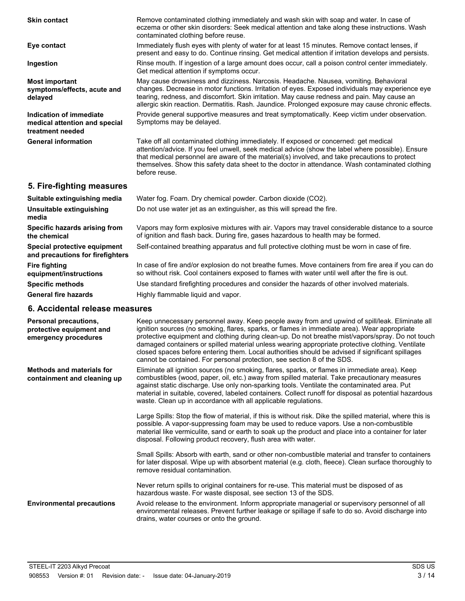| <b>Skin contact</b>                                                          | Remove contaminated clothing immediately and wash skin with soap and water. In case of<br>eczema or other skin disorders: Seek medical attention and take along these instructions. Wash<br>contaminated clothing before reuse.                                                                                                                                                                                |
|------------------------------------------------------------------------------|----------------------------------------------------------------------------------------------------------------------------------------------------------------------------------------------------------------------------------------------------------------------------------------------------------------------------------------------------------------------------------------------------------------|
| Eye contact                                                                  | Immediately flush eyes with plenty of water for at least 15 minutes. Remove contact lenses, if<br>present and easy to do. Continue rinsing. Get medical attention if irritation develops and persists.                                                                                                                                                                                                         |
| Ingestion                                                                    | Rinse mouth. If ingestion of a large amount does occur, call a poison control center immediately.<br>Get medical attention if symptoms occur.                                                                                                                                                                                                                                                                  |
| <b>Most important</b><br>symptoms/effects, acute and<br>delayed              | May cause drowsiness and dizziness. Narcosis. Headache. Nausea, vomiting. Behavioral<br>changes. Decrease in motor functions. Irritation of eyes. Exposed individuals may experience eye<br>tearing, redness, and discomfort. Skin irritation. May cause redness and pain. May cause an<br>allergic skin reaction. Dermatitis. Rash. Jaundice. Prolonged exposure may cause chronic effects.                   |
| Indication of immediate<br>medical attention and special<br>treatment needed | Provide general supportive measures and treat symptomatically. Keep victim under observation.<br>Symptoms may be delayed.                                                                                                                                                                                                                                                                                      |
| <b>General information</b>                                                   | Take off all contaminated clothing immediately. If exposed or concerned: get medical<br>attention/advice. If you feel unwell, seek medical advice (show the label where possible). Ensure<br>that medical personnel are aware of the material(s) involved, and take precautions to protect<br>themselves. Show this safety data sheet to the doctor in attendance. Wash contaminated clothing<br>before reuse. |
| 5. Fire-fighting measures                                                    |                                                                                                                                                                                                                                                                                                                                                                                                                |
| Suitable extinguishing media                                                 | Water fog. Foam. Dry chemical powder. Carbon dioxide (CO2).                                                                                                                                                                                                                                                                                                                                                    |
| Unsuitable extinguishing<br>media                                            | Do not use water jet as an extinguisher, as this will spread the fire.                                                                                                                                                                                                                                                                                                                                         |
| Specific hazards arising from<br>the chemical                                | Vapors may form explosive mixtures with air. Vapors may travel considerable distance to a source<br>of ignition and flash back. During fire, gases hazardous to health may be formed.                                                                                                                                                                                                                          |

**Special protective equipment** Self-contained breathing apparatus and full protective clothing must be worn in case of fire.

**Specific methods** Use standard firefighting procedures and consider the hazards of other involved materials.

cannot be contained. For personal protection, see section 8 of the SDS.

waste. Clean up in accordance with all applicable regulations.

disposal. Following product recovery, flush area with water.

hazardous waste. For waste disposal, see section 13 of the SDS.

remove residual contamination.

drains, water courses or onto the ground.

In case of fire and/or explosion do not breathe fumes. Move containers from fire area if you can do so without risk. Cool containers exposed to flames with water until well after the fire is out.

Keep unnecessary personnel away. Keep people away from and upwind of spill/leak. Eliminate all ignition sources (no smoking, flares, sparks, or flames in immediate area). Wear appropriate protective equipment and clothing during clean-up. Do not breathe mist/vapors/spray. Do not touch damaged containers or spilled material unless wearing appropriate protective clothing. Ventilate closed spaces before entering them. Local authorities should be advised if significant spillages

Eliminate all ignition sources (no smoking, flares, sparks, or flames in immediate area). Keep combustibles (wood, paper, oil, etc.) away from spilled material. Take precautionary measures against static discharge. Use only non-sparking tools. Ventilate the contaminated area. Put material in suitable, covered, labeled containers. Collect runoff for disposal as potential hazardous

Large Spills: Stop the flow of material, if this is without risk. Dike the spilled material, where this is possible. A vapor-suppressing foam may be used to reduce vapors. Use a non-combustible material like vermiculite, sand or earth to soak up the product and place into a container for later

Small Spills: Absorb with earth, sand or other non-combustible material and transfer to containers for later disposal. Wipe up with absorbent material (e.g. cloth, fleece). Clean surface thoroughly to

Avoid release to the environment. Inform appropriate managerial or supervisory personnel of all environmental releases. Prevent further leakage or spillage if safe to do so. Avoid discharge into

Never return spills to original containers for re-use. This material must be disposed of as

**General fire hazards** Highly flammable liquid and vapor.

**and precautions for firefighters**

**6. Accidental release measures**

**equipment/instructions**

**Personal precautions, protective equipment and emergency procedures**

**Methods and materials for containment and cleaning up**

**Environmental precautions**

**Fire fighting**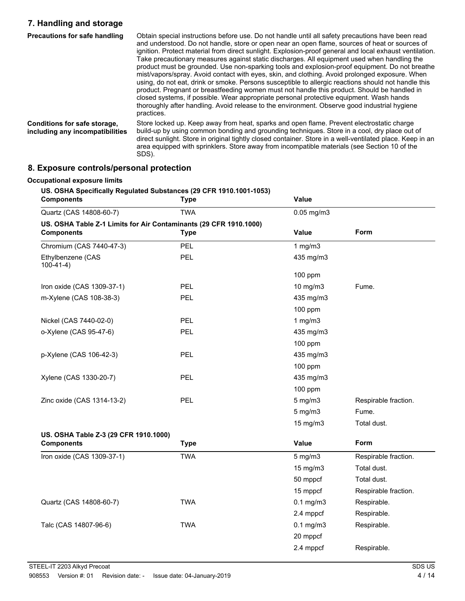# **7. Handling and storage**

| <b>Precautions for safe handling</b>                            | Obtain special instructions before use. Do not handle until all safety precautions have been read<br>and understood. Do not handle, store or open near an open flame, sources of heat or sources of<br>ignition. Protect material from direct sunlight. Explosion-proof general and local exhaust ventilation.<br>Take precautionary measures against static discharges. All equipment used when handling the<br>product must be grounded. Use non-sparking tools and explosion-proof equipment. Do not breathe<br>mist/vapors/spray. Avoid contact with eyes, skin, and clothing. Avoid prolonged exposure. When<br>using, do not eat, drink or smoke. Persons susceptible to allergic reactions should not handle this<br>product. Pregnant or breastfeeding women must not handle this product. Should be handled in<br>closed systems, if possible. Wear appropriate personal protective equipment. Wash hands<br>thoroughly after handling. Avoid release to the environment. Observe good industrial hygiene<br>practices. |
|-----------------------------------------------------------------|----------------------------------------------------------------------------------------------------------------------------------------------------------------------------------------------------------------------------------------------------------------------------------------------------------------------------------------------------------------------------------------------------------------------------------------------------------------------------------------------------------------------------------------------------------------------------------------------------------------------------------------------------------------------------------------------------------------------------------------------------------------------------------------------------------------------------------------------------------------------------------------------------------------------------------------------------------------------------------------------------------------------------------|
| Conditions for safe storage,<br>including any incompatibilities | Store locked up. Keep away from heat, sparks and open flame. Prevent electrostatic charge<br>build-up by using common bonding and grounding techniques. Store in a cool, dry place out of<br>direct sunlight. Store in original tightly closed container. Store in a well-ventilated place. Keep in an<br>area equipped with sprinklers. Store away from incompatible materials (see Section 10 of the<br>SDS).                                                                                                                                                                                                                                                                                                                                                                                                                                                                                                                                                                                                                  |

# **8. Exposure controls/personal protection**

| <b>Components</b>                                                                      | <b>Type</b> | Value           |                      |
|----------------------------------------------------------------------------------------|-------------|-----------------|----------------------|
| Quartz (CAS 14808-60-7)                                                                | <b>TWA</b>  | $0.05$ mg/m $3$ |                      |
| US. OSHA Table Z-1 Limits for Air Contaminants (29 CFR 1910.1000)<br><b>Components</b> | <b>Type</b> | <b>Value</b>    | Form                 |
| Chromium (CAS 7440-47-3)                                                               | PEL         | 1 $mg/m3$       |                      |
| Ethylbenzene (CAS<br>$100-41-4)$                                                       | <b>PEL</b>  | 435 mg/m3       |                      |
|                                                                                        |             | 100 ppm         |                      |
| Iron oxide (CAS 1309-37-1)                                                             | <b>PEL</b>  | 10 mg/m3        | Fume.                |
| m-Xylene (CAS 108-38-3)                                                                | <b>PEL</b>  | 435 mg/m3       |                      |
|                                                                                        |             | 100 ppm         |                      |
| Nickel (CAS 7440-02-0)                                                                 | <b>PEL</b>  | 1 $mg/m3$       |                      |
| o-Xylene (CAS 95-47-6)                                                                 | <b>PEL</b>  | 435 mg/m3       |                      |
|                                                                                        |             | $100$ ppm       |                      |
| p-Xylene (CAS 106-42-3)                                                                | <b>PEL</b>  | 435 mg/m3       |                      |
|                                                                                        |             | $100$ ppm       |                      |
| Xylene (CAS 1330-20-7)                                                                 | PEL         | 435 mg/m3       |                      |
|                                                                                        |             | $100$ ppm       |                      |
| Zinc oxide (CAS 1314-13-2)                                                             | <b>PEL</b>  | $5$ mg/m $3$    | Respirable fraction. |
|                                                                                        |             | $5$ mg/m $3$    | Fume.                |
|                                                                                        |             | 15 mg/m3        | Total dust.          |
| US. OSHA Table Z-3 (29 CFR 1910.1000)                                                  |             |                 |                      |
| <b>Components</b>                                                                      | <b>Type</b> | Value           | <b>Form</b>          |
| Iron oxide (CAS 1309-37-1)                                                             | <b>TWA</b>  | $5$ mg/m $3$    | Respirable fraction. |
|                                                                                        |             | 15 mg/m3        | Total dust.          |
|                                                                                        |             | 50 mppcf        | Total dust.          |
|                                                                                        |             | 15 mppcf        | Respirable fraction. |
| Quartz (CAS 14808-60-7)                                                                | <b>TWA</b>  | $0.1$ mg/m $3$  | Respirable.          |
|                                                                                        |             | 2.4 mppcf       | Respirable.          |
| Talc (CAS 14807-96-6)                                                                  | <b>TWA</b>  | $0.1$ mg/m $3$  | Respirable.          |
|                                                                                        |             | 20 mppcf        |                      |
|                                                                                        |             | 2.4 mppcf       | Respirable.          |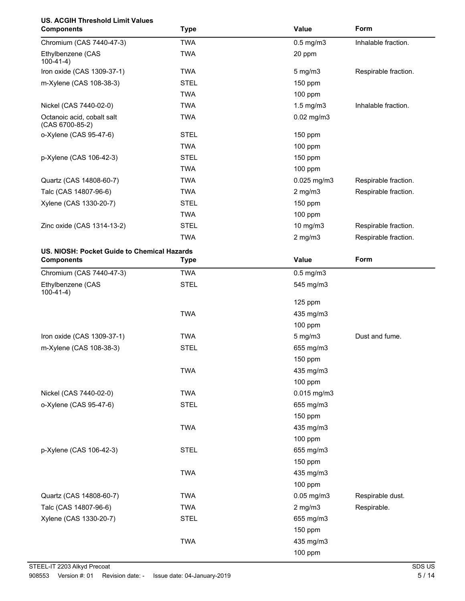# **US. ACGIH Threshold Limit Values**

| <b>Components</b>                             | <b>Type</b> | Value           | Form                 |
|-----------------------------------------------|-------------|-----------------|----------------------|
| Chromium (CAS 7440-47-3)                      | <b>TWA</b>  | $0.5$ mg/m $3$  | Inhalable fraction.  |
| Ethylbenzene (CAS<br>$100-41-4)$              | <b>TWA</b>  | 20 ppm          |                      |
| Iron oxide (CAS 1309-37-1)                    | <b>TWA</b>  | $5$ mg/m $3$    | Respirable fraction. |
| m-Xylene (CAS 108-38-3)                       | <b>STEL</b> | 150 ppm         |                      |
|                                               | <b>TWA</b>  | 100 ppm         |                      |
| Nickel (CAS 7440-02-0)                        | <b>TWA</b>  | 1.5 mg/m3       | Inhalable fraction.  |
| Octanoic acid, cobalt salt<br>(CAS 6700-85-2) | <b>TWA</b>  | $0.02$ mg/m $3$ |                      |
| o-Xylene (CAS 95-47-6)                        | <b>STEL</b> | $150$ ppm       |                      |
|                                               | <b>TWA</b>  | $100$ ppm       |                      |
| p-Xylene (CAS 106-42-3)                       | <b>STEL</b> | 150 ppm         |                      |
|                                               | <b>TWA</b>  | 100 ppm         |                      |
| Quartz (CAS 14808-60-7)                       | <b>TWA</b>  | $0.025$ mg/m3   | Respirable fraction. |
| Talc (CAS 14807-96-6)                         | <b>TWA</b>  | $2$ mg/m $3$    | Respirable fraction. |
| Xylene (CAS 1330-20-7)                        | <b>STEL</b> | 150 ppm         |                      |
|                                               | <b>TWA</b>  | $100$ ppm       |                      |
| Zinc oxide (CAS 1314-13-2)                    | <b>STEL</b> | $10$ mg/m $3$   | Respirable fraction. |
|                                               | <b>TWA</b>  | $2$ mg/m $3$    | Respirable fraction. |
| US. NIOSH: Pocket Guide to Chemical Hazards   |             |                 |                      |
| <b>Components</b>                             | <b>Type</b> | Value           | Form                 |
| Chromium (CAS 7440-47-3)                      | <b>TWA</b>  | $0.5$ mg/m $3$  |                      |
| Ethylbenzene (CAS<br>$100-41-4)$              | <b>STEL</b> | 545 mg/m3       |                      |
|                                               |             | $125$ ppm       |                      |
|                                               | <b>TWA</b>  | 435 mg/m3       |                      |
|                                               |             | 100 ppm         |                      |
| Iron oxide (CAS 1309-37-1)                    | <b>TWA</b>  | $5$ mg/m $3$    | Dust and fume.       |
| m-Xylene (CAS 108-38-3)                       | <b>STEL</b> | 655 mg/m3       |                      |
|                                               |             | 150 ppm         |                      |
|                                               | <b>TWA</b>  | 435 mg/m3       |                      |
|                                               |             | 100 ppm         |                      |
| Nickel (CAS 7440-02-0)                        | <b>TWA</b>  | 0.015 mg/m3     |                      |
| o-Xylene (CAS 95-47-6)                        | <b>STEL</b> | 655 mg/m3       |                      |
|                                               |             | 150 ppm         |                      |
|                                               | <b>TWA</b>  | 435 mg/m3       |                      |
|                                               |             | 100 ppm         |                      |
| p-Xylene (CAS 106-42-3)                       | <b>STEL</b> | 655 mg/m3       |                      |
|                                               |             | 150 ppm         |                      |
|                                               | <b>TWA</b>  | 435 mg/m3       |                      |
|                                               |             | 100 ppm         |                      |
| Quartz (CAS 14808-60-7)                       | <b>TWA</b>  | $0.05$ mg/m $3$ | Respirable dust.     |
| Talc (CAS 14807-96-6)                         | <b>TWA</b>  | $2$ mg/m $3$    | Respirable.          |
| Xylene (CAS 1330-20-7)                        | <b>STEL</b> | 655 mg/m3       |                      |
|                                               |             | 150 ppm         |                      |
|                                               | <b>TWA</b>  | 435 mg/m3       |                      |
|                                               |             | 100 ppm         |                      |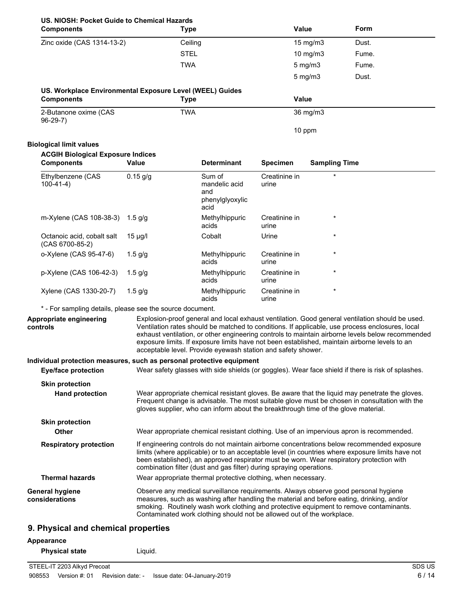| US. NIOSH: Pocket Guide to Chemical Hazards |      |
|---------------------------------------------|------|
| Components                                  | Tyne |

| US. NIOSH: Pocket Guide to Chemical Hazards<br><b>Components</b>                                    |              | <b>Type</b>                                                                                                                                                                                                                                                                                                                                          | <b>Value</b>           |                      | Form                                                                                                                                                                                                                                                                                                   |
|-----------------------------------------------------------------------------------------------------|--------------|------------------------------------------------------------------------------------------------------------------------------------------------------------------------------------------------------------------------------------------------------------------------------------------------------------------------------------------------------|------------------------|----------------------|--------------------------------------------------------------------------------------------------------------------------------------------------------------------------------------------------------------------------------------------------------------------------------------------------------|
| Zinc oxide (CAS 1314-13-2)                                                                          |              | Ceiling                                                                                                                                                                                                                                                                                                                                              |                        | 15 mg/m3             | Dust.                                                                                                                                                                                                                                                                                                  |
|                                                                                                     |              | <b>STEL</b>                                                                                                                                                                                                                                                                                                                                          |                        | $10$ mg/m $3$        | Fume.                                                                                                                                                                                                                                                                                                  |
|                                                                                                     |              | <b>TWA</b>                                                                                                                                                                                                                                                                                                                                           |                        | $5$ mg/m $3$         | Fume.                                                                                                                                                                                                                                                                                                  |
|                                                                                                     |              |                                                                                                                                                                                                                                                                                                                                                      |                        | $5$ mg/m $3$         | Dust.                                                                                                                                                                                                                                                                                                  |
| US. Workplace Environmental Exposure Level (WEEL) Guides<br><b>Components</b>                       |              | <b>Type</b>                                                                                                                                                                                                                                                                                                                                          | <b>Value</b>           |                      |                                                                                                                                                                                                                                                                                                        |
| 2-Butanone oxime (CAS                                                                               |              | <b>TWA</b>                                                                                                                                                                                                                                                                                                                                           |                        | 36 mg/m3             |                                                                                                                                                                                                                                                                                                        |
| $96-29-7)$                                                                                          |              |                                                                                                                                                                                                                                                                                                                                                      |                        | 10 ppm               |                                                                                                                                                                                                                                                                                                        |
| <b>Biological limit values</b>                                                                      |              |                                                                                                                                                                                                                                                                                                                                                      |                        |                      |                                                                                                                                                                                                                                                                                                        |
| <b>ACGIH Biological Exposure Indices</b>                                                            |              |                                                                                                                                                                                                                                                                                                                                                      |                        |                      |                                                                                                                                                                                                                                                                                                        |
| <b>Components</b>                                                                                   | <b>Value</b> | <b>Determinant</b>                                                                                                                                                                                                                                                                                                                                   | <b>Specimen</b>        | <b>Sampling Time</b> |                                                                                                                                                                                                                                                                                                        |
| Ethylbenzene (CAS<br>$100-41-4)$                                                                    | $0.15$ g/g   | Sum of<br>mandelic acid<br>and<br>phenylglyoxylic<br>acid                                                                                                                                                                                                                                                                                            | Creatinine in<br>urine | $\star$              |                                                                                                                                                                                                                                                                                                        |
| m-Xylene (CAS 108-38-3) 1.5 g/g                                                                     |              | Methylhippuric<br>acids                                                                                                                                                                                                                                                                                                                              | Creatinine in<br>urine | $^\star$             |                                                                                                                                                                                                                                                                                                        |
| Octanoic acid, cobalt salt<br>(CAS 6700-85-2)                                                       | $15 \mu g/l$ | Cobalt                                                                                                                                                                                                                                                                                                                                               | Urine                  | $\star$              |                                                                                                                                                                                                                                                                                                        |
| o-Xylene (CAS 95-47-6)                                                                              | $1.5$ g/g    | Methylhippuric<br>acids                                                                                                                                                                                                                                                                                                                              | Creatinine in<br>urine |                      |                                                                                                                                                                                                                                                                                                        |
| p-Xylene (CAS 106-42-3)                                                                             | $1.5$ g/g    | Methylhippuric<br>acids                                                                                                                                                                                                                                                                                                                              | Creatinine in<br>urine | $\star$              |                                                                                                                                                                                                                                                                                                        |
| Xylene (CAS 1330-20-7)                                                                              | $1.5$ g/g    | Methylhippuric<br>acids                                                                                                                                                                                                                                                                                                                              | Creatinine in<br>urine | *                    |                                                                                                                                                                                                                                                                                                        |
| * - For sampling details, please see the source document.                                           |              |                                                                                                                                                                                                                                                                                                                                                      |                        |                      |                                                                                                                                                                                                                                                                                                        |
| Appropriate engineering<br>controls                                                                 |              | exposure limits. If exposure limits have not been established, maintain airborne levels to an<br>acceptable level. Provide eyewash station and safety shower.                                                                                                                                                                                        |                        |                      | Explosion-proof general and local exhaust ventilation. Good general ventilation should be used.<br>Ventilation rates should be matched to conditions. If applicable, use process enclosures, local<br>exhaust ventilation, or other engineering controls to maintain airborne levels below recommended |
| Individual protection measures, such as personal protective equipment<br><b>Eye/face protection</b> |              |                                                                                                                                                                                                                                                                                                                                                      |                        |                      | Wear safety glasses with side shields (or goggles). Wear face shield if there is risk of splashes.                                                                                                                                                                                                     |
| <b>Skin protection</b>                                                                              |              |                                                                                                                                                                                                                                                                                                                                                      |                        |                      |                                                                                                                                                                                                                                                                                                        |
| <b>Hand protection</b>                                                                              |              | gloves supplier, who can inform about the breakthrough time of the glove material.                                                                                                                                                                                                                                                                   |                        |                      | Wear appropriate chemical resistant gloves. Be aware that the liquid may penetrate the gloves.<br>Frequent change is advisable. The most suitable glove must be chosen in consultation with the                                                                                                        |
| <b>Skin protection</b><br><b>Other</b>                                                              |              | Wear appropriate chemical resistant clothing. Use of an impervious apron is recommended.                                                                                                                                                                                                                                                             |                        |                      |                                                                                                                                                                                                                                                                                                        |
| <b>Respiratory protection</b>                                                                       |              | been established), an approved respirator must be worn. Wear respiratory protection with<br>combination filter (dust and gas filter) during spraying operations.                                                                                                                                                                                     |                        |                      | If engineering controls do not maintain airborne concentrations below recommended exposure<br>limits (where applicable) or to an acceptable level (in countries where exposure limits have not                                                                                                         |
| <b>Thermal hazards</b>                                                                              |              | Wear appropriate thermal protective clothing, when necessary.                                                                                                                                                                                                                                                                                        |                        |                      |                                                                                                                                                                                                                                                                                                        |
| <b>General hygiene</b><br>considerations                                                            |              | Observe any medical surveillance requirements. Always observe good personal hygiene<br>measures, such as washing after handling the material and before eating, drinking, and/or<br>smoking. Routinely wash work clothing and protective equipment to remove contaminants.<br>Contaminated work clothing should not be allowed out of the workplace. |                        |                      |                                                                                                                                                                                                                                                                                                        |

# **9. Physical and chemical properties**

# **Appearance**

**Physical state** Liquid.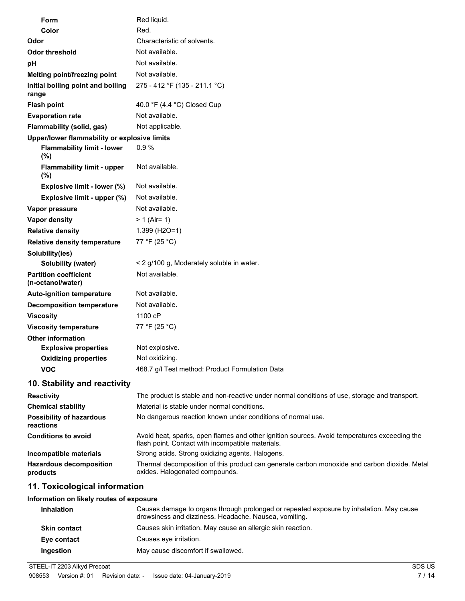| Form                                              | Red liquid.                                                                                                                                       |
|---------------------------------------------------|---------------------------------------------------------------------------------------------------------------------------------------------------|
| Color                                             | Red.                                                                                                                                              |
| Odor                                              | Characteristic of solvents.                                                                                                                       |
| <b>Odor threshold</b>                             | Not available.                                                                                                                                    |
| pH                                                | Not available.                                                                                                                                    |
| Melting point/freezing point                      | Not available.                                                                                                                                    |
| Initial boiling point and boiling<br>range        | 275 - 412 °F (135 - 211.1 °C)                                                                                                                     |
| <b>Flash point</b>                                | 40.0 $\degree$ F (4.4 $\degree$ C) Closed Cup                                                                                                     |
| <b>Evaporation rate</b>                           | Not available.                                                                                                                                    |
| Flammability (solid, gas)                         | Not applicable.                                                                                                                                   |
| Upper/lower flammability or explosive limits      |                                                                                                                                                   |
| <b>Flammability limit - lower</b><br>(%)          | 0.9%                                                                                                                                              |
| <b>Flammability limit - upper</b><br>$(\% )$      | Not available.                                                                                                                                    |
| Explosive limit - lower (%)                       | Not available.                                                                                                                                    |
| Explosive limit - upper (%)                       | Not available.                                                                                                                                    |
| Vapor pressure                                    | Not available.                                                                                                                                    |
| <b>Vapor density</b>                              | $> 1$ (Air= 1)                                                                                                                                    |
| <b>Relative density</b>                           | 1.399 (H2O=1)                                                                                                                                     |
| <b>Relative density temperature</b>               | 77 °F (25 °C)                                                                                                                                     |
| Solubility(ies)                                   |                                                                                                                                                   |
| Solubility (water)                                | < 2 g/100 g, Moderately soluble in water.                                                                                                         |
| <b>Partition coefficient</b><br>(n-octanol/water) | Not available.                                                                                                                                    |
| <b>Auto-ignition temperature</b>                  | Not available.                                                                                                                                    |
| <b>Decomposition temperature</b>                  | Not available.                                                                                                                                    |
| <b>Viscosity</b>                                  | 1100 cP                                                                                                                                           |
| <b>Viscosity temperature</b>                      | 77 °F (25 °C)                                                                                                                                     |
| <b>Other information</b>                          |                                                                                                                                                   |
| <b>Explosive properties</b>                       | Not explosive.                                                                                                                                    |
| <b>Oxidizing properties</b>                       | Not oxidizing.                                                                                                                                    |
| <b>VOC</b>                                        | 468.7 g/l Test method: Product Formulation Data                                                                                                   |
| 10. Stability and reactivity                      |                                                                                                                                                   |
| <b>Reactivity</b>                                 | The product is stable and non-reactive under normal conditions of use, storage and transport.                                                     |
| <b>Chemical stability</b>                         | Material is stable under normal conditions.                                                                                                       |
| <b>Possibility of hazardous</b><br>reactions      | No dangerous reaction known under conditions of normal use.                                                                                       |
| <b>Conditions to avoid</b>                        | Avoid heat, sparks, open flames and other ignition sources. Avoid temperatures exceeding the<br>flash point. Contact with incompatible materials. |
| Incompatible materials                            | Strong acids. Strong oxidizing agents. Halogens.                                                                                                  |
| <b>Hazardous decomposition</b><br>products        | Thermal decomposition of this product can generate carbon monoxide and carbon dioxide. Metal<br>oxides. Halogenated compounds.                    |
| 11. Toxicological information                     |                                                                                                                                                   |
| Information on likely routes of exposure          |                                                                                                                                                   |

| <b>Inhalation</b>   | Causes damage to organs through prolonged or repeated exposure by inhalation. May cause<br>drowsiness and dizziness. Headache. Nausea, vomiting. |
|---------------------|--------------------------------------------------------------------------------------------------------------------------------------------------|
| <b>Skin contact</b> | Causes skin irritation. May cause an allergic skin reaction.                                                                                     |
| Eye contact         | Causes eve irritation.                                                                                                                           |
| Ingestion           | May cause discomfort if swallowed.                                                                                                               |

STEEL-IT 2203 Alkyd Precoat SDS US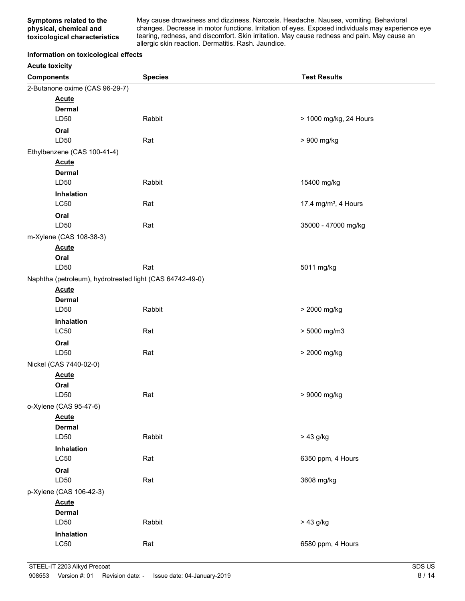May cause drowsiness and dizziness. Narcosis. Headache. Nausea, vomiting. Behavioral changes. Decrease in motor functions. Irritation of eyes. Exposed individuals may experience eye tearing, redness, and discomfort. Skin irritation. May cause redness and pain. May cause an allergic skin reaction. Dermatitis. Rash. Jaundice.

#### **Information on toxicological effects**

| <b>Acute toxicity</b> |  |
|-----------------------|--|
|-----------------------|--|

| <b>Components</b>                                        | <b>Species</b> | <b>Test Results</b>              |
|----------------------------------------------------------|----------------|----------------------------------|
| 2-Butanone oxime (CAS 96-29-7)                           |                |                                  |
| <b>Acute</b>                                             |                |                                  |
| <b>Dermal</b>                                            |                |                                  |
| LD50                                                     | Rabbit         | > 1000 mg/kg, 24 Hours           |
| Oral                                                     |                |                                  |
| LD50                                                     | Rat            | > 900 mg/kg                      |
| Ethylbenzene (CAS 100-41-4)                              |                |                                  |
| <b>Acute</b>                                             |                |                                  |
| <b>Dermal</b>                                            |                |                                  |
| LD50                                                     | Rabbit         | 15400 mg/kg                      |
| Inhalation                                               |                |                                  |
| <b>LC50</b>                                              | Rat            | 17.4 mg/m <sup>3</sup> , 4 Hours |
| Oral                                                     |                |                                  |
| LD50                                                     | Rat            | 35000 - 47000 mg/kg              |
| m-Xylene (CAS 108-38-3)                                  |                |                                  |
| <b>Acute</b>                                             |                |                                  |
| Oral                                                     |                |                                  |
| LD50                                                     | Rat            | 5011 mg/kg                       |
| Naphtha (petroleum), hydrotreated light (CAS 64742-49-0) |                |                                  |
| <b>Acute</b>                                             |                |                                  |
| <b>Dermal</b>                                            |                |                                  |
| LD50                                                     | Rabbit         | > 2000 mg/kg                     |
| Inhalation                                               |                |                                  |
| LC50                                                     | Rat            | > 5000 mg/m3                     |
| Oral                                                     |                |                                  |
| LD50                                                     | Rat            | > 2000 mg/kg                     |
| Nickel (CAS 7440-02-0)                                   |                |                                  |
| <b>Acute</b>                                             |                |                                  |
| Oral                                                     |                |                                  |
| LD50                                                     | Rat            | > 9000 mg/kg                     |
| o-Xylene (CAS 95-47-6)                                   |                |                                  |
| <b>Acute</b>                                             |                |                                  |
| <b>Dermal</b>                                            |                |                                  |
| LD50                                                     | Rabbit         | > 43 g/kg                        |
| <b>Inhalation</b>                                        |                |                                  |
| <b>LC50</b>                                              | Rat            | 6350 ppm, 4 Hours                |
| Oral                                                     |                |                                  |
| LD50                                                     | Rat            | 3608 mg/kg                       |
| p-Xylene (CAS 106-42-3)                                  |                |                                  |
| <b>Acute</b>                                             |                |                                  |
| <b>Dermal</b>                                            |                |                                  |
| LD50                                                     | Rabbit         | $> 43$ g/kg                      |
| Inhalation                                               |                |                                  |
| L <sub>C</sub> 50                                        | Rat            | 6580 ppm, 4 Hours                |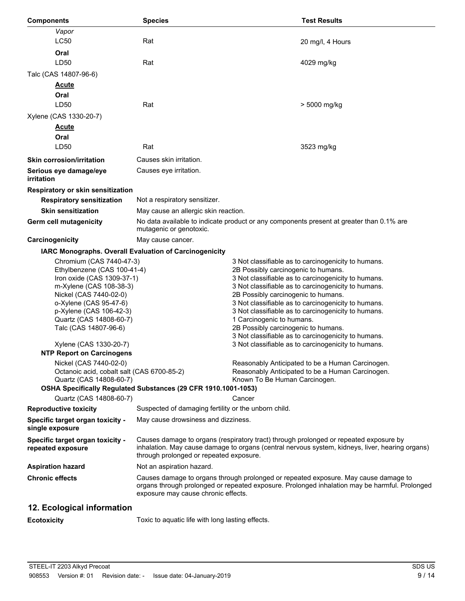| <b>Components</b>                                                                                                                                                                                                                                                                                                 | <b>Species</b>                                                                                                                                                                                                                      | <b>Test Results</b>                                                                                                                                                                                                                                                                                                                                                                                                                                                                                                                             |  |
|-------------------------------------------------------------------------------------------------------------------------------------------------------------------------------------------------------------------------------------------------------------------------------------------------------------------|-------------------------------------------------------------------------------------------------------------------------------------------------------------------------------------------------------------------------------------|-------------------------------------------------------------------------------------------------------------------------------------------------------------------------------------------------------------------------------------------------------------------------------------------------------------------------------------------------------------------------------------------------------------------------------------------------------------------------------------------------------------------------------------------------|--|
| Vapor                                                                                                                                                                                                                                                                                                             |                                                                                                                                                                                                                                     |                                                                                                                                                                                                                                                                                                                                                                                                                                                                                                                                                 |  |
| <b>LC50</b>                                                                                                                                                                                                                                                                                                       | Rat                                                                                                                                                                                                                                 | 20 mg/l, 4 Hours                                                                                                                                                                                                                                                                                                                                                                                                                                                                                                                                |  |
| Oral                                                                                                                                                                                                                                                                                                              |                                                                                                                                                                                                                                     |                                                                                                                                                                                                                                                                                                                                                                                                                                                                                                                                                 |  |
| LD50                                                                                                                                                                                                                                                                                                              | Rat                                                                                                                                                                                                                                 | 4029 mg/kg                                                                                                                                                                                                                                                                                                                                                                                                                                                                                                                                      |  |
| Talc (CAS 14807-96-6)                                                                                                                                                                                                                                                                                             |                                                                                                                                                                                                                                     |                                                                                                                                                                                                                                                                                                                                                                                                                                                                                                                                                 |  |
| <u>Acute</u><br>Oral                                                                                                                                                                                                                                                                                              |                                                                                                                                                                                                                                     |                                                                                                                                                                                                                                                                                                                                                                                                                                                                                                                                                 |  |
| LD50                                                                                                                                                                                                                                                                                                              | Rat                                                                                                                                                                                                                                 | > 5000 mg/kg                                                                                                                                                                                                                                                                                                                                                                                                                                                                                                                                    |  |
| Xylene (CAS 1330-20-7)                                                                                                                                                                                                                                                                                            |                                                                                                                                                                                                                                     |                                                                                                                                                                                                                                                                                                                                                                                                                                                                                                                                                 |  |
| <u>Acute</u>                                                                                                                                                                                                                                                                                                      |                                                                                                                                                                                                                                     |                                                                                                                                                                                                                                                                                                                                                                                                                                                                                                                                                 |  |
| Oral                                                                                                                                                                                                                                                                                                              |                                                                                                                                                                                                                                     |                                                                                                                                                                                                                                                                                                                                                                                                                                                                                                                                                 |  |
| LD50                                                                                                                                                                                                                                                                                                              | Rat                                                                                                                                                                                                                                 | 3523 mg/kg                                                                                                                                                                                                                                                                                                                                                                                                                                                                                                                                      |  |
| <b>Skin corrosion/irritation</b>                                                                                                                                                                                                                                                                                  | Causes skin irritation.                                                                                                                                                                                                             |                                                                                                                                                                                                                                                                                                                                                                                                                                                                                                                                                 |  |
| Serious eye damage/eye<br>irritation                                                                                                                                                                                                                                                                              | Causes eye irritation.                                                                                                                                                                                                              |                                                                                                                                                                                                                                                                                                                                                                                                                                                                                                                                                 |  |
| Respiratory or skin sensitization                                                                                                                                                                                                                                                                                 |                                                                                                                                                                                                                                     |                                                                                                                                                                                                                                                                                                                                                                                                                                                                                                                                                 |  |
| <b>Respiratory sensitization</b>                                                                                                                                                                                                                                                                                  | Not a respiratory sensitizer.                                                                                                                                                                                                       |                                                                                                                                                                                                                                                                                                                                                                                                                                                                                                                                                 |  |
| <b>Skin sensitization</b>                                                                                                                                                                                                                                                                                         | May cause an allergic skin reaction.                                                                                                                                                                                                |                                                                                                                                                                                                                                                                                                                                                                                                                                                                                                                                                 |  |
| <b>Germ cell mutagenicity</b>                                                                                                                                                                                                                                                                                     | No data available to indicate product or any components present at greater than 0.1% are<br>mutagenic or genotoxic.                                                                                                                 |                                                                                                                                                                                                                                                                                                                                                                                                                                                                                                                                                 |  |
| Carcinogenicity                                                                                                                                                                                                                                                                                                   | May cause cancer.                                                                                                                                                                                                                   |                                                                                                                                                                                                                                                                                                                                                                                                                                                                                                                                                 |  |
|                                                                                                                                                                                                                                                                                                                   | IARC Monographs. Overall Evaluation of Carcinogenicity                                                                                                                                                                              |                                                                                                                                                                                                                                                                                                                                                                                                                                                                                                                                                 |  |
| Chromium (CAS 7440-47-3)<br>Ethylbenzene (CAS 100-41-4)<br>Iron oxide (CAS 1309-37-1)<br>m-Xylene (CAS 108-38-3)<br>Nickel (CAS 7440-02-0)<br>o-Xylene (CAS 95-47-6)<br>p-Xylene (CAS 106-42-3)<br>Quartz (CAS 14808-60-7)<br>Talc (CAS 14807-96-6)<br>Xylene (CAS 1330-20-7)<br><b>NTP Report on Carcinogens</b> |                                                                                                                                                                                                                                     | 3 Not classifiable as to carcinogenicity to humans.<br>2B Possibly carcinogenic to humans.<br>3 Not classifiable as to carcinogenicity to humans.<br>3 Not classifiable as to carcinogenicity to humans.<br>2B Possibly carcinogenic to humans.<br>3 Not classifiable as to carcinogenicity to humans.<br>3 Not classifiable as to carcinogenicity to humans.<br>1 Carcinogenic to humans.<br>2B Possibly carcinogenic to humans.<br>3 Not classifiable as to carcinogenicity to humans.<br>3 Not classifiable as to carcinogenicity to humans. |  |
| Nickel (CAS 7440-02-0)                                                                                                                                                                                                                                                                                            | Reasonably Anticipated to be a Human Carcinogen.<br>Octanoic acid, cobalt salt (CAS 6700-85-2)<br>Reasonably Anticipated to be a Human Carcinogen.<br>Known To Be Human Carcinogen.<br>Quartz (CAS 14808-60-7)                      |                                                                                                                                                                                                                                                                                                                                                                                                                                                                                                                                                 |  |
|                                                                                                                                                                                                                                                                                                                   | OSHA Specifically Regulated Substances (29 CFR 1910.1001-1053)                                                                                                                                                                      |                                                                                                                                                                                                                                                                                                                                                                                                                                                                                                                                                 |  |
| Quartz (CAS 14808-60-7)                                                                                                                                                                                                                                                                                           |                                                                                                                                                                                                                                     | Cancer                                                                                                                                                                                                                                                                                                                                                                                                                                                                                                                                          |  |
| <b>Reproductive toxicity</b>                                                                                                                                                                                                                                                                                      | Suspected of damaging fertility or the unborn child.                                                                                                                                                                                |                                                                                                                                                                                                                                                                                                                                                                                                                                                                                                                                                 |  |
| Specific target organ toxicity -<br>single exposure                                                                                                                                                                                                                                                               | May cause drowsiness and dizziness.                                                                                                                                                                                                 |                                                                                                                                                                                                                                                                                                                                                                                                                                                                                                                                                 |  |
| Specific target organ toxicity -<br>repeated exposure                                                                                                                                                                                                                                                             | Causes damage to organs (respiratory tract) through prolonged or repeated exposure by<br>inhalation. May cause damage to organs (central nervous system, kidneys, liver, hearing organs)<br>through prolonged or repeated exposure. |                                                                                                                                                                                                                                                                                                                                                                                                                                                                                                                                                 |  |
| <b>Aspiration hazard</b>                                                                                                                                                                                                                                                                                          | Not an aspiration hazard.                                                                                                                                                                                                           |                                                                                                                                                                                                                                                                                                                                                                                                                                                                                                                                                 |  |
| <b>Chronic effects</b>                                                                                                                                                                                                                                                                                            | Causes damage to organs through prolonged or repeated exposure. May cause damage to<br>organs through prolonged or repeated exposure. Prolonged inhalation may be harmful. Prolonged<br>exposure may cause chronic effects.         |                                                                                                                                                                                                                                                                                                                                                                                                                                                                                                                                                 |  |
| 12. Ecological information                                                                                                                                                                                                                                                                                        |                                                                                                                                                                                                                                     |                                                                                                                                                                                                                                                                                                                                                                                                                                                                                                                                                 |  |

**Ecotoxicity** Toxic to aquatic life with long lasting effects.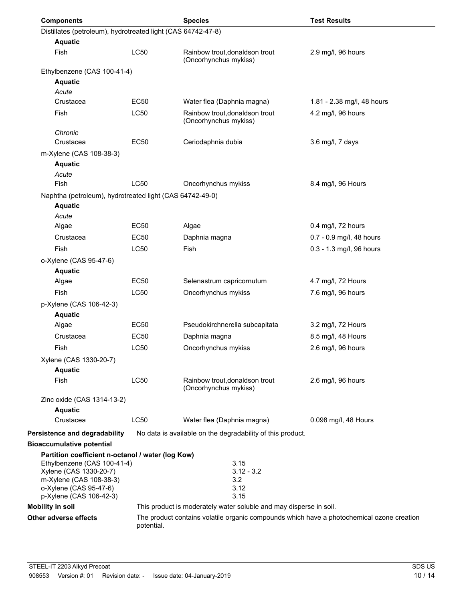| <b>Components</b>                                                                |             | <b>Species</b>                                                                            | <b>Test Results</b>        |
|----------------------------------------------------------------------------------|-------------|-------------------------------------------------------------------------------------------|----------------------------|
| Distillates (petroleum), hydrotreated light (CAS 64742-47-8)                     |             |                                                                                           |                            |
| <b>Aquatic</b>                                                                   |             |                                                                                           |                            |
| Fish                                                                             | LC50        | Rainbow trout, donaldson trout<br>(Oncorhynchus mykiss)                                   | 2.9 mg/l, 96 hours         |
| Ethylbenzene (CAS 100-41-4)                                                      |             |                                                                                           |                            |
| <b>Aquatic</b>                                                                   |             |                                                                                           |                            |
| Acute                                                                            |             |                                                                                           |                            |
| Crustacea                                                                        | <b>EC50</b> | Water flea (Daphnia magna)                                                                | 1.81 - 2.38 mg/l, 48 hours |
| Fish                                                                             | LC50        | Rainbow trout, donaldson trout<br>(Oncorhynchus mykiss)                                   | 4.2 mg/l, 96 hours         |
| Chronic<br>Crustacea                                                             | EC50        | Ceriodaphnia dubia                                                                        | 3.6 mg/l, 7 days           |
| m-Xylene (CAS 108-38-3)                                                          |             |                                                                                           |                            |
| <b>Aquatic</b>                                                                   |             |                                                                                           |                            |
| Acute<br>Fish                                                                    | LC50        | Oncorhynchus mykiss                                                                       | 8.4 mg/l, 96 Hours         |
|                                                                                  |             |                                                                                           |                            |
| Naphtha (petroleum), hydrotreated light (CAS 64742-49-0)<br><b>Aquatic</b>       |             |                                                                                           |                            |
| Acute                                                                            | <b>EC50</b> | Algae                                                                                     | 0.4 mg/l, 72 hours         |
| Algae                                                                            |             |                                                                                           |                            |
| Crustacea                                                                        | EC50        | Daphnia magna                                                                             | 0.7 - 0.9 mg/l, 48 hours   |
| Fish                                                                             | LC50        | Fish                                                                                      | 0.3 - 1.3 mg/l, 96 hours   |
| o-Xylene (CAS 95-47-6)                                                           |             |                                                                                           |                            |
| <b>Aquatic</b><br>Algae                                                          | EC50        | Selenastrum capricornutum                                                                 | 4.7 mg/l, 72 Hours         |
| Fish                                                                             | LC50        | Oncorhynchus mykiss                                                                       | 7.6 mg/l, 96 hours         |
|                                                                                  |             |                                                                                           |                            |
| p-Xylene (CAS 106-42-3)<br><b>Aquatic</b>                                        |             |                                                                                           |                            |
| Algae                                                                            | EC50        | Pseudokirchnerella subcapitata                                                            | 3.2 mg/l, 72 Hours         |
| Crustacea                                                                        | <b>EC50</b> | Daphnia magna                                                                             | 8.5 mg/l, 48 Hours         |
| Fish                                                                             | LC50        | Oncorhynchus mykiss                                                                       | 2.6 mg/l, 96 hours         |
| Xylene (CAS 1330-20-7)                                                           |             |                                                                                           |                            |
| <b>Aquatic</b>                                                                   |             |                                                                                           |                            |
| Fish                                                                             | LC50        | Rainbow trout, donaldson trout<br>(Oncorhynchus mykiss)                                   | 2.6 mg/l, 96 hours         |
| Zinc oxide (CAS 1314-13-2)                                                       |             |                                                                                           |                            |
| <b>Aquatic</b>                                                                   |             |                                                                                           |                            |
| Crustacea                                                                        | LC50        | Water flea (Daphnia magna)                                                                | 0.098 mg/l, 48 Hours       |
| Persistence and degradability                                                    |             | No data is available on the degradability of this product.                                |                            |
| <b>Bioaccumulative potential</b>                                                 |             |                                                                                           |                            |
| Partition coefficient n-octanol / water (log Kow)<br>Ethylbenzene (CAS 100-41-4) |             | 3.15                                                                                      |                            |
| Xylene (CAS 1330-20-7)<br>m-Xylene (CAS 108-38-3)<br>o-Xylene (CAS 95-47-6)      |             | $3.12 - 3.2$<br>3.2<br>3.12                                                               |                            |
| p-Xylene (CAS 106-42-3)                                                          |             | 3.15                                                                                      |                            |
| <b>Mobility in soil</b>                                                          |             | This product is moderately water soluble and may disperse in soil.                        |                            |
| Other adverse effects                                                            | potential.  | The product contains volatile organic compounds which have a photochemical ozone creation |                            |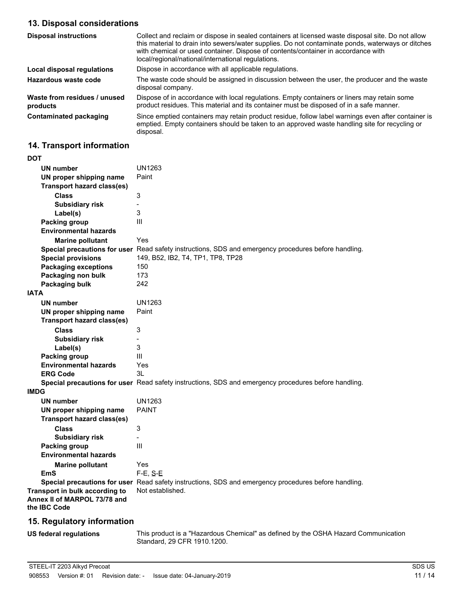# **13. Disposal considerations**

| <b>Disposal instructions</b>             | Collect and reclaim or dispose in sealed containers at licensed waste disposal site. Do not allow<br>this material to drain into sewers/water supplies. Do not contaminate ponds, waterways or ditches<br>with chemical or used container. Dispose of contents/container in accordance with<br>local/regional/national/international regulations. |
|------------------------------------------|---------------------------------------------------------------------------------------------------------------------------------------------------------------------------------------------------------------------------------------------------------------------------------------------------------------------------------------------------|
| Local disposal regulations               | Dispose in accordance with all applicable regulations.                                                                                                                                                                                                                                                                                            |
| Hazardous waste code                     | The waste code should be assigned in discussion between the user, the producer and the waste<br>disposal company.                                                                                                                                                                                                                                 |
| Waste from residues / unused<br>products | Dispose of in accordance with local regulations. Empty containers or liners may retain some<br>product residues. This material and its container must be disposed of in a safe manner.                                                                                                                                                            |
| <b>Contaminated packaging</b>            | Since emptied containers may retain product residue, follow label warnings even after container is<br>emptied. Empty containers should be taken to an approved waste handling site for recycling or<br>disposal.                                                                                                                                  |

# **14. Transport information**

| DOT                                                                            |                                                                                                      |
|--------------------------------------------------------------------------------|------------------------------------------------------------------------------------------------------|
| <b>UN number</b>                                                               | UN1263                                                                                               |
| UN proper shipping name                                                        | Paint                                                                                                |
| <b>Transport hazard class(es)</b>                                              |                                                                                                      |
| <b>Class</b>                                                                   | 3                                                                                                    |
| <b>Subsidiary risk</b>                                                         | $\overline{\phantom{0}}$                                                                             |
| Label(s)                                                                       | 3                                                                                                    |
| <b>Packing group</b>                                                           | III                                                                                                  |
| <b>Environmental hazards</b>                                                   |                                                                                                      |
| <b>Marine pollutant</b>                                                        | Yes                                                                                                  |
|                                                                                | Special precautions for user Read safety instructions, SDS and emergency procedures before handling. |
| <b>Special provisions</b>                                                      | 149, B52, IB2, T4, TP1, TP8, TP28                                                                    |
| <b>Packaging exceptions</b>                                                    | 150                                                                                                  |
| Packaging non bulk                                                             | 173                                                                                                  |
| Packaging bulk                                                                 | 242                                                                                                  |
| <b>IATA</b>                                                                    |                                                                                                      |
| <b>UN number</b>                                                               | UN1263                                                                                               |
| UN proper shipping name                                                        | Paint                                                                                                |
| <b>Transport hazard class(es)</b>                                              |                                                                                                      |
| <b>Class</b>                                                                   | 3                                                                                                    |
| <b>Subsidiary risk</b>                                                         | $\overline{a}$                                                                                       |
| Label(s)                                                                       | 3                                                                                                    |
| Packing group                                                                  | Ш                                                                                                    |
| <b>Environmental hazards</b>                                                   | Yes                                                                                                  |
| <b>ERG Code</b>                                                                | 3L                                                                                                   |
|                                                                                | Special precautions for user Read safety instructions, SDS and emergency procedures before handling. |
| <b>IMDG</b>                                                                    |                                                                                                      |
| <b>UN number</b>                                                               | UN1263                                                                                               |
| UN proper shipping name                                                        | <b>PAINT</b>                                                                                         |
| <b>Transport hazard class(es)</b>                                              |                                                                                                      |
| <b>Class</b>                                                                   | 3                                                                                                    |
| <b>Subsidiary risk</b>                                                         | $\overline{\phantom{0}}$                                                                             |
| <b>Packing group</b>                                                           | III                                                                                                  |
| <b>Environmental hazards</b>                                                   |                                                                                                      |
| <b>Marine pollutant</b>                                                        | Yes                                                                                                  |
| EmS                                                                            | $F-E, S-E$                                                                                           |
|                                                                                | Special precautions for user Read safety instructions, SDS and emergency procedures before handling. |
| Transport in bulk according to<br>Annex II of MARPOL 73/78 and<br>the IBC Code | Not established.                                                                                     |
|                                                                                |                                                                                                      |

# **15. Regulatory information**

**US federal regulations**

This product is a "Hazardous Chemical" as defined by the OSHA Hazard Communication Standard, 29 CFR 1910.1200.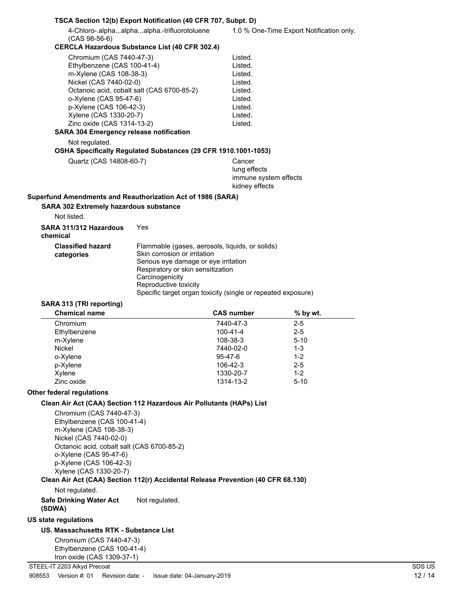|                                                                                                                                                                                                                                                                                                                                                                        | TSCA Section 12(b) Export Notification (40 CFR 707, Subpt. D)                                                                                                                                                                                                            |                                                                                                           |                                          |
|------------------------------------------------------------------------------------------------------------------------------------------------------------------------------------------------------------------------------------------------------------------------------------------------------------------------------------------------------------------------|--------------------------------------------------------------------------------------------------------------------------------------------------------------------------------------------------------------------------------------------------------------------------|-----------------------------------------------------------------------------------------------------------|------------------------------------------|
| $(CAS 98-56-6)$                                                                                                                                                                                                                                                                                                                                                        | 4-Chloro-.alpha.,.alpha.,.alpha.-trifluorotoluene                                                                                                                                                                                                                        |                                                                                                           | 1.0 % One-Time Export Notification only. |
|                                                                                                                                                                                                                                                                                                                                                                        | <b>CERCLA Hazardous Substance List (40 CFR 302.4)</b>                                                                                                                                                                                                                    |                                                                                                           |                                          |
| Chromium (CAS 7440-47-3)<br>Ethylbenzene (CAS 100-41-4)<br>m-Xylene (CAS 108-38-3)<br>Nickel (CAS 7440-02-0)<br>Octanoic acid, cobalt salt (CAS 6700-85-2)<br>o-Xylene (CAS 95-47-6)<br>p-Xylene (CAS 106-42-3)<br>Xylene (CAS 1330-20-7)<br>Zinc oxide (CAS 1314-13-2)<br><b>SARA 304 Emergency release notification</b><br>Not regulated.<br>Quartz (CAS 14808-60-7) | OSHA Specifically Regulated Substances (29 CFR 1910.1001-1053)                                                                                                                                                                                                           | Listed.<br>Listed.<br>Listed.<br>Listed.<br>Listed.<br>Listed.<br>Listed.<br>Listed.<br>Listed.<br>Cancer |                                          |
|                                                                                                                                                                                                                                                                                                                                                                        |                                                                                                                                                                                                                                                                          | lung effects<br>immune system effects<br>kidney effects                                                   |                                          |
| Superfund Amendments and Reauthorization Act of 1986 (SARA)                                                                                                                                                                                                                                                                                                            |                                                                                                                                                                                                                                                                          |                                                                                                           |                                          |
| <b>SARA 302 Extremely hazardous substance</b>                                                                                                                                                                                                                                                                                                                          |                                                                                                                                                                                                                                                                          |                                                                                                           |                                          |
| Not listed.                                                                                                                                                                                                                                                                                                                                                            |                                                                                                                                                                                                                                                                          |                                                                                                           |                                          |
| SARA 311/312 Hazardous<br>chemical                                                                                                                                                                                                                                                                                                                                     | Yes                                                                                                                                                                                                                                                                      |                                                                                                           |                                          |
| <b>Classified hazard</b><br>categories                                                                                                                                                                                                                                                                                                                                 | Flammable (gases, aerosols, liquids, or solids)<br>Skin corrosion or irritation<br>Serious eye damage or eye irritation<br>Respiratory or skin sensitization<br>Carcinogenicity<br>Reproductive toxicity<br>Specific target organ toxicity (single or repeated exposure) |                                                                                                           |                                          |
| SARA 313 (TRI reporting)                                                                                                                                                                                                                                                                                                                                               |                                                                                                                                                                                                                                                                          |                                                                                                           |                                          |
| <b>Chemical name</b>                                                                                                                                                                                                                                                                                                                                                   |                                                                                                                                                                                                                                                                          | <b>CAS number</b>                                                                                         | $%$ by wt.                               |
| Chromium                                                                                                                                                                                                                                                                                                                                                               |                                                                                                                                                                                                                                                                          | 7440-47-3                                                                                                 | $2 - 5$                                  |
| Ethylbenzene                                                                                                                                                                                                                                                                                                                                                           |                                                                                                                                                                                                                                                                          | 100-41-4                                                                                                  | $2 - 5$                                  |
| m-Xylene                                                                                                                                                                                                                                                                                                                                                               |                                                                                                                                                                                                                                                                          | 108-38-3                                                                                                  | $5 - 10$                                 |
| Nickel                                                                                                                                                                                                                                                                                                                                                                 |                                                                                                                                                                                                                                                                          | 7440-02-0                                                                                                 | $1 - 3$                                  |
|                                                                                                                                                                                                                                                                                                                                                                        |                                                                                                                                                                                                                                                                          |                                                                                                           |                                          |
| o-Xylene                                                                                                                                                                                                                                                                                                                                                               |                                                                                                                                                                                                                                                                          | 95-47-6                                                                                                   | $1 - 2$                                  |
| p-Xylene                                                                                                                                                                                                                                                                                                                                                               |                                                                                                                                                                                                                                                                          | 106-42-3                                                                                                  | $2 - 5$                                  |
| Xylene<br>Zinc oxide                                                                                                                                                                                                                                                                                                                                                   |                                                                                                                                                                                                                                                                          | 1330-20-7                                                                                                 | $1 - 2$<br>$5 - 10$                      |
|                                                                                                                                                                                                                                                                                                                                                                        |                                                                                                                                                                                                                                                                          | 1314-13-2                                                                                                 |                                          |
| Other federal regulations                                                                                                                                                                                                                                                                                                                                              |                                                                                                                                                                                                                                                                          |                                                                                                           |                                          |
| Clean Air Act (CAA) Section 112 Hazardous Air Pollutants (HAPs) List<br>Chromium (CAS 7440-47-3)<br>Ethylbenzene (CAS 100-41-4)<br>m-Xylene (CAS 108-38-3)<br>Nickel (CAS 7440-02-0)<br>Octanoic acid, cobalt salt (CAS 6700-85-2)<br>o-Xylene (CAS 95-47-6)<br>p-Xylene (CAS 106-42-3)<br>Xylene (CAS 1330-20-7)                                                      |                                                                                                                                                                                                                                                                          |                                                                                                           |                                          |
| Clean Air Act (CAA) Section 112(r) Accidental Release Prevention (40 CFR 68.130)                                                                                                                                                                                                                                                                                       |                                                                                                                                                                                                                                                                          |                                                                                                           |                                          |
| Not regulated.<br><b>Safe Drinking Water Act</b>                                                                                                                                                                                                                                                                                                                       | Not regulated.                                                                                                                                                                                                                                                           |                                                                                                           |                                          |
| (SDWA)                                                                                                                                                                                                                                                                                                                                                                 |                                                                                                                                                                                                                                                                          |                                                                                                           |                                          |
| <b>US state regulations</b>                                                                                                                                                                                                                                                                                                                                            |                                                                                                                                                                                                                                                                          |                                                                                                           |                                          |
| US. Massachusetts RTK - Substance List<br>Chromium (CAS 7440-47-3)                                                                                                                                                                                                                                                                                                     |                                                                                                                                                                                                                                                                          |                                                                                                           |                                          |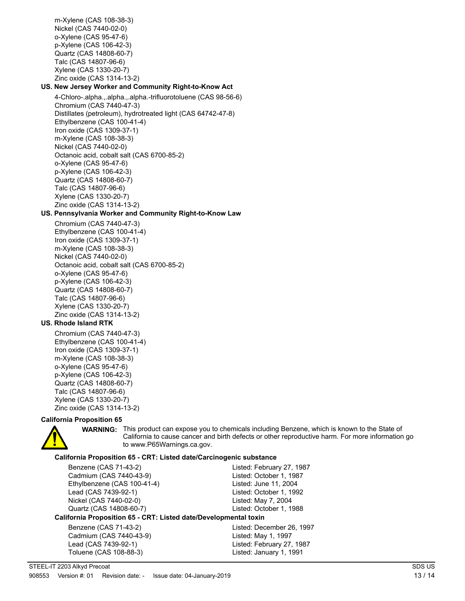m-Xylene (CAS 108-38-3) Nickel (CAS 7440-02-0) o-Xylene (CAS 95-47-6) p-Xylene (CAS 106-42-3) Quartz (CAS 14808-60-7) Talc (CAS 14807-96-6) Xylene (CAS 1330-20-7) Zinc oxide (CAS 1314-13-2)

# **US. New Jersey Worker and Community Right-to-Know Act**

4-Chloro-.alpha.,.alpha.,.alpha.-trifluorotoluene (CAS 98-56-6) Chromium (CAS 7440-47-3) Distillates (petroleum), hydrotreated light (CAS 64742-47-8) Ethylbenzene (CAS 100-41-4) Iron oxide (CAS 1309-37-1) m-Xylene (CAS 108-38-3) Nickel (CAS 7440-02-0) Octanoic acid, cobalt salt (CAS 6700-85-2) o-Xylene (CAS 95-47-6) p-Xylene (CAS 106-42-3) Quartz (CAS 14808-60-7) Talc (CAS 14807-96-6) Xylene (CAS 1330-20-7) Zinc oxide (CAS 1314-13-2)

### **US. Pennsylvania Worker and Community Right-to-Know Law**

Chromium (CAS 7440-47-3) Ethylbenzene (CAS 100-41-4) Iron oxide (CAS 1309-37-1) m-Xylene (CAS 108-38-3) Nickel (CAS 7440-02-0) Octanoic acid, cobalt salt (CAS 6700-85-2) o-Xylene (CAS 95-47-6) p-Xylene (CAS 106-42-3) Quartz (CAS 14808-60-7) Talc (CAS 14807-96-6) Xylene (CAS 1330-20-7) Zinc oxide (CAS 1314-13-2)

#### **US. Rhode Island RTK**

Chromium (CAS 7440-47-3) Ethylbenzene (CAS 100-41-4) Iron oxide (CAS 1309-37-1) m-Xylene (CAS 108-38-3) o-Xylene (CAS 95-47-6) p-Xylene (CAS 106-42-3) Quartz (CAS 14808-60-7) Talc (CAS 14807-96-6) Xylene (CAS 1330-20-7) Zinc oxide (CAS 1314-13-2)

#### **California Proposition 65**



**WARNING:** This product can expose you to chemicals including Benzene, which is known to the State of California to cause cancer and birth defects or other reproductive harm. For more information go to www.P65Warnings.ca.gov.

#### **California Proposition 65 - CRT: Listed date/Carcinogenic substance**

| Benzene (CAS 71-43-2)                                            | Listed: February 27, 1987 |
|------------------------------------------------------------------|---------------------------|
| Cadmium (CAS 7440-43-9)                                          | Listed: October 1, 1987   |
| Ethylbenzene (CAS 100-41-4)                                      | Listed: June 11, 2004     |
| Lead (CAS 7439-92-1)                                             | Listed: October 1, 1992   |
| Nickel (CAS 7440-02-0)                                           | Listed: May 7, 2004       |
| Quartz (CAS 14808-60-7)                                          | Listed: October 1, 1988   |
| California Proposition 65 - CRT: Listed date/Developmental toxin |                           |
| Benzene (CAS 71-43-2)                                            | Listed: December 26, 1997 |
| Cadmium (CAS 7440-43-9)                                          | Listed: May 1, 1997       |
| Lead (CAS 7439-92-1)                                             | Listed: February 27, 1987 |
| Toluene (CAS 108-88-3)                                           | Listed: January 1, 1991   |